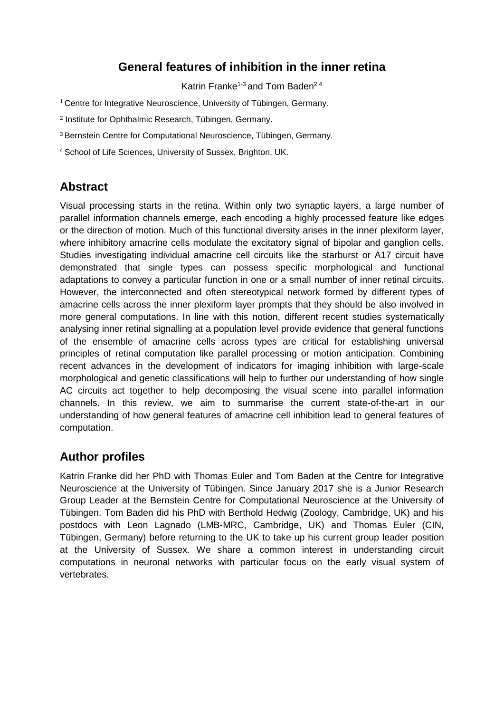# **General features of inhibition in the inner retina**

Katrin Franke<sup>1-3</sup> and Tom Baden<sup>2,4</sup>

<sup>1</sup> Centre for Integrative Neuroscience, University of Tübingen, Germany.

2 Institute for Ophthalmic Research, Tübingen, Germany.

<sup>3</sup> Bernstein Centre for Computational Neuroscience, Tübingen, Germany.

<sup>4</sup> School of Life Sciences, University of Sussex, Brighton, UK.

# **Abstract**

Visual processing starts in the retina. Within only two synaptic layers, a large number of parallel information channels emerge, each encoding a highly processed feature like edges or the direction of motion. Much of this functional diversity arises in the inner plexiform layer, where inhibitory amacrine cells modulate the excitatory signal of bipolar and ganglion cells. Studies investigating individual amacrine cell circuits like the starburst or A17 circuit have demonstrated that single types can possess specific morphological and functional adaptations to convey a particular function in one or a small number of inner retinal circuits. However, the interconnected and often stereotypical network formed by different types of amacrine cells across the inner plexiform layer prompts that they should be also involved in more general computations. In line with this notion, different recent studies systematically analysing inner retinal signalling at a population level provide evidence that general functions of the ensemble of amacrine cells across types are critical for establishing universal principles of retinal computation like parallel processing or motion anticipation. Combining recent advances in the development of indicators for imaging inhibition with large-scale morphological and genetic classifications will help to further our understanding of how single AC circuits act together to help decomposing the visual scene into parallel information channels. In this review, we aim to summarise the current state-of-the-art in our understanding of how general features of amacrine cell inhibition lead to general features of computation.

# **Author profiles**

Katrin Franke did her PhD with Thomas Euler and Tom Baden at the Centre for Integrative Neuroscience at the University of Tübingen. Since January 2017 she is a Junior Research Group Leader at the Bernstein Centre for Computational Neuroscience at the University of Tübingen. Tom Baden did his PhD with Berthold Hedwig (Zoology, Cambridge, UK) and his postdocs with Leon Lagnado (LMB-MRC, Cambridge, UK) and Thomas Euler (CIN, Tübingen, Germany) before returning to the UK to take up his current group leader position at the University of Sussex. We share a common interest in understanding circuit computations in neuronal networks with particular focus on the early visual system of vertebrates.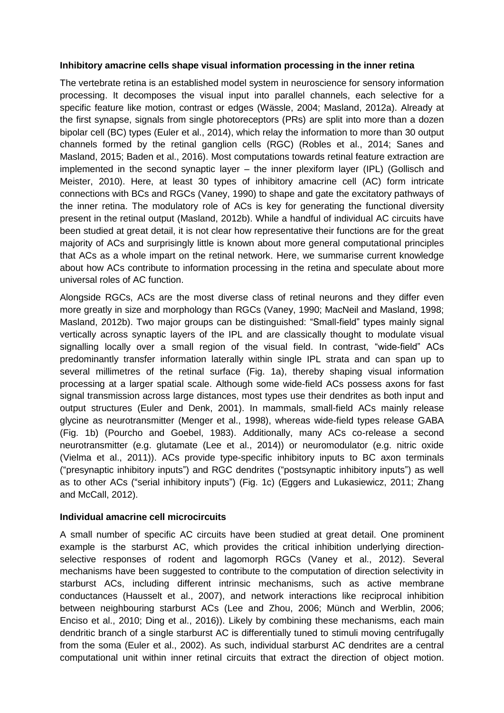#### **Inhibitory amacrine cells shape visual information processing in the inner retina**

The vertebrate retina is an established model system in neuroscience for sensory information processing. It decomposes the visual input into parallel channels, each selective for a specific feature like motion, contrast or edges (Wässle, 2004; Masland, 2012a). Already at the first synapse, signals from single photoreceptors (PRs) are split into more than a dozen bipolar cell (BC) types (Euler et al., 2014), which relay the information to more than 30 output channels formed by the retinal ganglion cells (RGC) (Robles et al., 2014; Sanes and Masland, 2015; Baden et al., 2016). Most computations towards retinal feature extraction are implemented in the second synaptic layer – the inner plexiform layer (IPL) (Gollisch and Meister, 2010). Here, at least 30 types of inhibitory amacrine cell (AC) form intricate connections with BCs and RGCs (Vaney, 1990) to shape and gate the excitatory pathways of the inner retina. The modulatory role of ACs is key for generating the functional diversity present in the retinal output (Masland, 2012b). While a handful of individual AC circuits have been studied at great detail, it is not clear how representative their functions are for the great majority of ACs and surprisingly little is known about more general computational principles that ACs as a whole impart on the retinal network. Here, we summarise current knowledge about how ACs contribute to information processing in the retina and speculate about more universal roles of AC function.

Alongside RGCs, ACs are the most diverse class of retinal neurons and they differ even more greatly in size and morphology than RGCs (Vaney, 1990; MacNeil and Masland, 1998; Masland, 2012b). Two major groups can be distinguished: "Small-field" types mainly signal vertically across synaptic layers of the IPL and are classically thought to modulate visual signalling locally over a small region of the visual field. In contrast, "wide-field" ACs predominantly transfer information laterally within single IPL strata and can span up to several millimetres of the retinal surface (Fig. 1a), thereby shaping visual information processing at a larger spatial scale. Although some wide-field ACs possess axons for fast signal transmission across large distances, most types use their dendrites as both input and output structures (Euler and Denk, 2001). In mammals, small-field ACs mainly release glycine as neurotransmitter (Menger et al., 1998), whereas wide-field types release GABA (Fig. 1b) (Pourcho and Goebel, 1983). Additionally, many ACs co-release a second neurotransmitter (e.g. glutamate (Lee et al., 2014)) or neuromodulator (e.g. nitric oxide (Vielma et al., 2011)). ACs provide type-specific inhibitory inputs to BC axon terminals ("presynaptic inhibitory inputs") and RGC dendrites ("postsynaptic inhibitory inputs") as well as to other ACs ("serial inhibitory inputs") (Fig. 1c) (Eggers and Lukasiewicz, 2011; Zhang and McCall, 2012).

#### **Individual amacrine cell microcircuits**

A small number of specific AC circuits have been studied at great detail. One prominent example is the starburst AC, which provides the critical inhibition underlying directionselective responses of rodent and lagomorph RGCs (Vaney et al., 2012). Several mechanisms have been suggested to contribute to the computation of direction selectivity in starburst ACs, including different intrinsic mechanisms, such as active membrane conductances (Hausselt et al., 2007), and network interactions like reciprocal inhibition between neighbouring starburst ACs (Lee and Zhou, 2006; Münch and Werblin, 2006; Enciso et al., 2010; Ding et al., 2016)). Likely by combining these mechanisms, each main dendritic branch of a single starburst AC is differentially tuned to stimuli moving centrifugally from the soma (Euler et al., 2002). As such, individual starburst AC dendrites are a central computational unit within inner retinal circuits that extract the direction of object motion.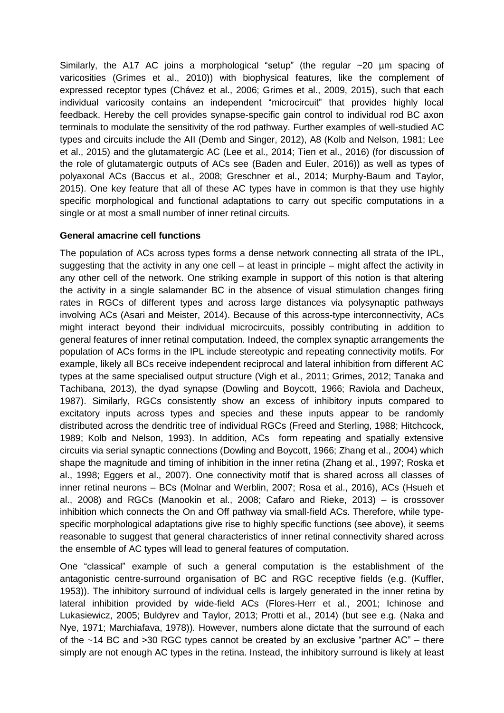Similarly, the A17 AC joins a morphological "setup" (the regular ~20 µm spacing of varicosities (Grimes et al., 2010)) with biophysical features, like the complement of expressed receptor types (Chávez et al., 2006; Grimes et al., 2009, 2015), such that each individual varicosity contains an independent "microcircuit" that provides highly local feedback. Hereby the cell provides synapse-specific gain control to individual rod BC axon terminals to modulate the sensitivity of the rod pathway. Further examples of well-studied AC types and circuits include the AII (Demb and Singer, 2012), A8 (Kolb and Nelson, 1981; Lee et al., 2015) and the glutamatergic AC (Lee et al., 2014; Tien et al., 2016) (for discussion of the role of glutamatergic outputs of ACs see (Baden and Euler, 2016)) as well as types of polyaxonal ACs (Baccus et al., 2008; Greschner et al., 2014; Murphy-Baum and Taylor, 2015). One key feature that all of these AC types have in common is that they use highly specific morphological and functional adaptations to carry out specific computations in a single or at most a small number of inner retinal circuits.

### **General amacrine cell functions**

The population of ACs across types forms a dense network connecting all strata of the IPL, suggesting that the activity in any one cell – at least in principle – might affect the activity in any other cell of the network. One striking example in support of this notion is that altering the activity in a single salamander BC in the absence of visual stimulation changes firing rates in RGCs of different types and across large distances via polysynaptic pathways involving ACs (Asari and Meister, 2014). Because of this across-type interconnectivity, ACs might interact beyond their individual microcircuits, possibly contributing in addition to general features of inner retinal computation. Indeed, the complex synaptic arrangements the population of ACs forms in the IPL include stereotypic and repeating connectivity motifs. For example, likely all BCs receive independent reciprocal and lateral inhibition from different AC types at the same specialised output structure (Vigh et al., 2011; Grimes, 2012; Tanaka and Tachibana, 2013), the dyad synapse (Dowling and Boycott, 1966; Raviola and Dacheux, 1987). Similarly, RGCs consistently show an excess of inhibitory inputs compared to excitatory inputs across types and species and these inputs appear to be randomly distributed across the dendritic tree of individual RGCs (Freed and Sterling, 1988; Hitchcock, 1989; Kolb and Nelson, 1993). In addition, ACs form repeating and spatially extensive circuits via serial synaptic connections (Dowling and Boycott, 1966; Zhang et al., 2004) which shape the magnitude and timing of inhibition in the inner retina (Zhang et al., 1997; Roska et al., 1998; Eggers et al., 2007). One connectivity motif that is shared across all classes of inner retinal neurons – BCs (Molnar and Werblin, 2007; Rosa et al., 2016), ACs (Hsueh et al., 2008) and RGCs (Manookin et al., 2008; Cafaro and Rieke, 2013) – is crossover inhibition which connects the On and Off pathway via small-field ACs. Therefore, while typespecific morphological adaptations give rise to highly specific functions (see above), it seems reasonable to suggest that general characteristics of inner retinal connectivity shared across the ensemble of AC types will lead to general features of computation.

One "classical" example of such a general computation is the establishment of the antagonistic centre-surround organisation of BC and RGC receptive fields (e.g. (Kuffler, 1953)). The inhibitory surround of individual cells is largely generated in the inner retina by lateral inhibition provided by wide-field ACs (Flores-Herr et al., 2001; Ichinose and Lukasiewicz, 2005; Buldyrev and Taylor, 2013; Protti et al., 2014) (but see e.g. (Naka and Nye, 1971; Marchiafava, 1978)). However, numbers alone dictate that the surround of each of the  $\sim$ 14 BC and  $>$ 30 RGC types cannot be created by an exclusive "partner AC" – there simply are not enough AC types in the retina. Instead, the inhibitory surround is likely at least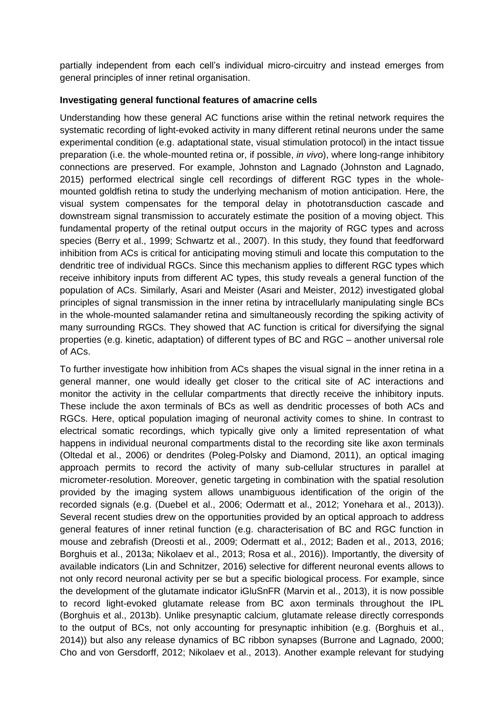partially independent from each cell's individual micro-circuitry and instead emerges from general principles of inner retinal organisation.

### **Investigating general functional features of amacrine cells**

Understanding how these general AC functions arise within the retinal network requires the systematic recording of light-evoked activity in many different retinal neurons under the same experimental condition (e.g. adaptational state, visual stimulation protocol) in the intact tissue preparation (i.e. the whole-mounted retina or, if possible, *in vivo*), where long-range inhibitory connections are preserved. For example, Johnston and Lagnado (Johnston and Lagnado, 2015) performed electrical single cell recordings of different RGC types in the wholemounted goldfish retina to study the underlying mechanism of motion anticipation. Here, the visual system compensates for the temporal delay in phototransduction cascade and downstream signal transmission to accurately estimate the position of a moving object. This fundamental property of the retinal output occurs in the majority of RGC types and across species (Berry et al., 1999; Schwartz et al., 2007). In this study, they found that feedforward inhibition from ACs is critical for anticipating moving stimuli and locate this computation to the dendritic tree of individual RGCs. Since this mechanism applies to different RGC types which receive inhibitory inputs from different AC types, this study reveals a general function of the population of ACs. Similarly, Asari and Meister (Asari and Meister, 2012) investigated global principles of signal transmission in the inner retina by intracellularly manipulating single BCs in the whole-mounted salamander retina and simultaneously recording the spiking activity of many surrounding RGCs. They showed that AC function is critical for diversifying the signal properties (e.g. kinetic, adaptation) of different types of BC and RGC – another universal role of ACs.

To further investigate how inhibition from ACs shapes the visual signal in the inner retina in a general manner, one would ideally get closer to the critical site of AC interactions and monitor the activity in the cellular compartments that directly receive the inhibitory inputs. These include the axon terminals of BCs as well as dendritic processes of both ACs and RGCs. Here, optical population imaging of neuronal activity comes to shine. In contrast to electrical somatic recordings, which typically give only a limited representation of what happens in individual neuronal compartments distal to the recording site like axon terminals (Oltedal et al., 2006) or dendrites (Poleg-Polsky and Diamond, 2011), an optical imaging approach permits to record the activity of many sub-cellular structures in parallel at micrometer-resolution. Moreover, genetic targeting in combination with the spatial resolution provided by the imaging system allows unambiguous identification of the origin of the recorded signals (e.g. (Duebel et al., 2006; Odermatt et al., 2012; Yonehara et al., 2013)). Several recent studies drew on the opportunities provided by an optical approach to address general features of inner retinal function (e.g. characterisation of BC and RGC function in mouse and zebrafish (Dreosti et al., 2009; Odermatt et al., 2012; Baden et al., 2013, 2016; Borghuis et al., 2013a; Nikolaev et al., 2013; Rosa et al., 2016)). Importantly, the diversity of available indicators (Lin and Schnitzer, 2016) selective for different neuronal events allows to not only record neuronal activity per se but a specific biological process. For example, since the development of the glutamate indicator iGluSnFR (Marvin et al., 2013), it is now possible to record light-evoked glutamate release from BC axon terminals throughout the IPL (Borghuis et al., 2013b). Unlike presynaptic calcium, glutamate release directly corresponds to the output of BCs, not only accounting for presynaptic inhibition (e.g. (Borghuis et al., 2014)) but also any release dynamics of BC ribbon synapses (Burrone and Lagnado, 2000; Cho and von Gersdorff, 2012; Nikolaev et al., 2013). Another example relevant for studying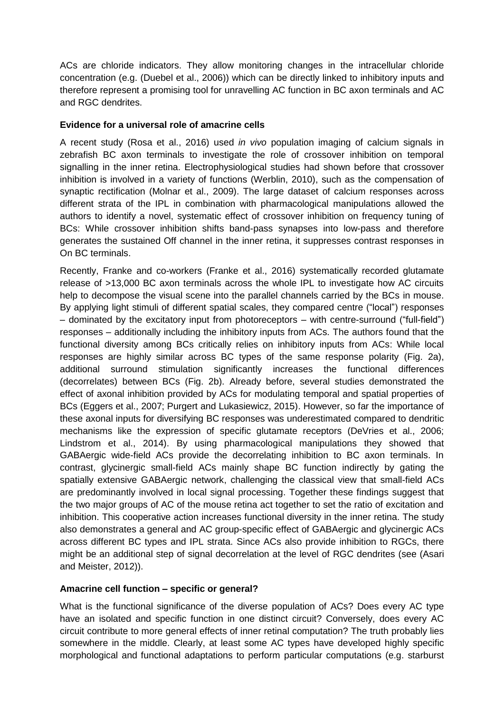ACs are chloride indicators. They allow monitoring changes in the intracellular chloride concentration (e.g. (Duebel et al., 2006)) which can be directly linked to inhibitory inputs and therefore represent a promising tool for unravelling AC function in BC axon terminals and AC and RGC dendrites.

### **Evidence for a universal role of amacrine cells**

A recent study (Rosa et al., 2016) used *in vivo* population imaging of calcium signals in zebrafish BC axon terminals to investigate the role of crossover inhibition on temporal signalling in the inner retina. Electrophysiological studies had shown before that crossover inhibition is involved in a variety of functions (Werblin, 2010), such as the compensation of synaptic rectification (Molnar et al., 2009). The large dataset of calcium responses across different strata of the IPL in combination with pharmacological manipulations allowed the authors to identify a novel, systematic effect of crossover inhibition on frequency tuning of BCs: While crossover inhibition shifts band-pass synapses into low-pass and therefore generates the sustained Off channel in the inner retina, it suppresses contrast responses in On BC terminals.

Recently, Franke and co-workers (Franke et al., 2016) systematically recorded glutamate release of >13,000 BC axon terminals across the whole IPL to investigate how AC circuits help to decompose the visual scene into the parallel channels carried by the BCs in mouse. By applying light stimuli of different spatial scales, they compared centre ("local") responses – dominated by the excitatory input from photoreceptors – with centre-surround ("full-field") responses – additionally including the inhibitory inputs from ACs. The authors found that the functional diversity among BCs critically relies on inhibitory inputs from ACs: While local responses are highly similar across BC types of the same response polarity (Fig. 2a), additional surround stimulation significantly increases the functional differences (decorrelates) between BCs (Fig. 2b). Already before, several studies demonstrated the effect of axonal inhibition provided by ACs for modulating temporal and spatial properties of BCs (Eggers et al., 2007; Purgert and Lukasiewicz, 2015). However, so far the importance of these axonal inputs for diversifying BC responses was underestimated compared to dendritic mechanisms like the expression of specific glutamate receptors (DeVries et al., 2006; Lindstrom et al., 2014). By using pharmacological manipulations they showed that GABAergic wide-field ACs provide the decorrelating inhibition to BC axon terminals. In contrast, glycinergic small-field ACs mainly shape BC function indirectly by gating the spatially extensive GABAergic network, challenging the classical view that small-field ACs are predominantly involved in local signal processing. Together these findings suggest that the two major groups of AC of the mouse retina act together to set the ratio of excitation and inhibition. This cooperative action increases functional diversity in the inner retina. The study also demonstrates a general and AC group-specific effect of GABAergic and glycinergic ACs across different BC types and IPL strata. Since ACs also provide inhibition to RGCs, there might be an additional step of signal decorrelation at the level of RGC dendrites (see (Asari and Meister, 2012)).

# **Amacrine cell function – specific or general?**

What is the functional significance of the diverse population of ACs? Does every AC type have an isolated and specific function in one distinct circuit? Conversely, does every AC circuit contribute to more general effects of inner retinal computation? The truth probably lies somewhere in the middle. Clearly, at least some AC types have developed highly specific morphological and functional adaptations to perform particular computations (e.g. starburst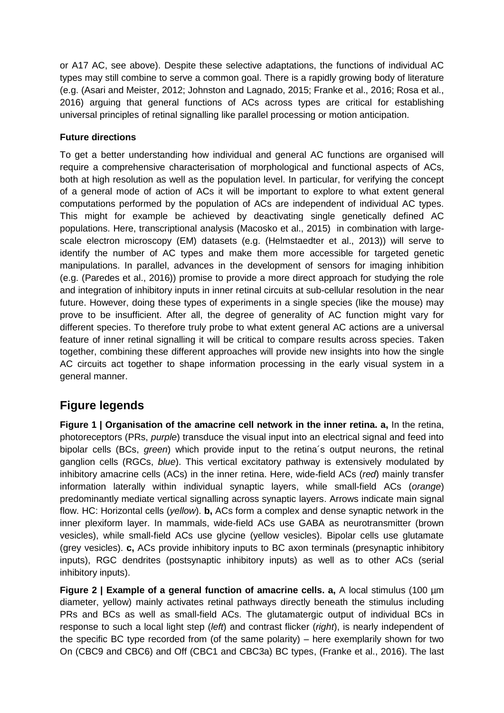or A17 AC, see above). Despite these selective adaptations, the functions of individual AC types may still combine to serve a common goal. There is a rapidly growing body of literature (e.g. (Asari and Meister, 2012; Johnston and Lagnado, 2015; Franke et al., 2016; Rosa et al., 2016) arguing that general functions of ACs across types are critical for establishing universal principles of retinal signalling like parallel processing or motion anticipation.

# **Future directions**

To get a better understanding how individual and general AC functions are organised will require a comprehensive characterisation of morphological and functional aspects of ACs, both at high resolution as well as the population level. In particular, for verifying the concept of a general mode of action of ACs it will be important to explore to what extent general computations performed by the population of ACs are independent of individual AC types. This might for example be achieved by deactivating single genetically defined AC populations. Here, transcriptional analysis (Macosko et al., 2015) in combination with largescale electron microscopy (EM) datasets (e.g. (Helmstaedter et al., 2013)) will serve to identify the number of AC types and make them more accessible for targeted genetic manipulations. In parallel, advances in the development of sensors for imaging inhibition (e.g. (Paredes et al., 2016)) promise to provide a more direct approach for studying the role and integration of inhibitory inputs in inner retinal circuits at sub-cellular resolution in the near future. However, doing these types of experiments in a single species (like the mouse) may prove to be insufficient. After all, the degree of generality of AC function might vary for different species. To therefore truly probe to what extent general AC actions are a universal feature of inner retinal signalling it will be critical to compare results across species. Taken together, combining these different approaches will provide new insights into how the single AC circuits act together to shape information processing in the early visual system in a general manner.

# **Figure legends**

**Figure 1 | Organisation of the amacrine cell network in the inner retina. a,** In the retina, photoreceptors (PRs, *purple*) transduce the visual input into an electrical signal and feed into bipolar cells (BCs, *green*) which provide input to the retina´s output neurons, the retinal ganglion cells (RGCs, *blue*). This vertical excitatory pathway is extensively modulated by inhibitory amacrine cells (ACs) in the inner retina. Here, wide-field ACs (*red*) mainly transfer information laterally within individual synaptic layers, while small-field ACs (*orange*) predominantly mediate vertical signalling across synaptic layers. Arrows indicate main signal flow. HC: Horizontal cells (*yellow*). **b,** ACs form a complex and dense synaptic network in the inner plexiform layer. In mammals, wide-field ACs use GABA as neurotransmitter (brown vesicles), while small-field ACs use glycine (yellow vesicles). Bipolar cells use glutamate (grey vesicles). **c,** ACs provide inhibitory inputs to BC axon terminals (presynaptic inhibitory inputs), RGC dendrites (postsynaptic inhibitory inputs) as well as to other ACs (serial inhibitory inputs).

**Figure 2 | Example of a general function of amacrine cells. a.** A local stimulus (100 µm diameter, yellow) mainly activates retinal pathways directly beneath the stimulus including PRs and BCs as well as small-field ACs. The glutamatergic output of individual BCs in response to such a local light step (*left*) and contrast flicker (*right*), is nearly independent of the specific BC type recorded from (of the same polarity) – here exemplarily shown for two On (CBC9 and CBC6) and Off (CBC1 and CBC3a) BC types, (Franke et al., 2016). The last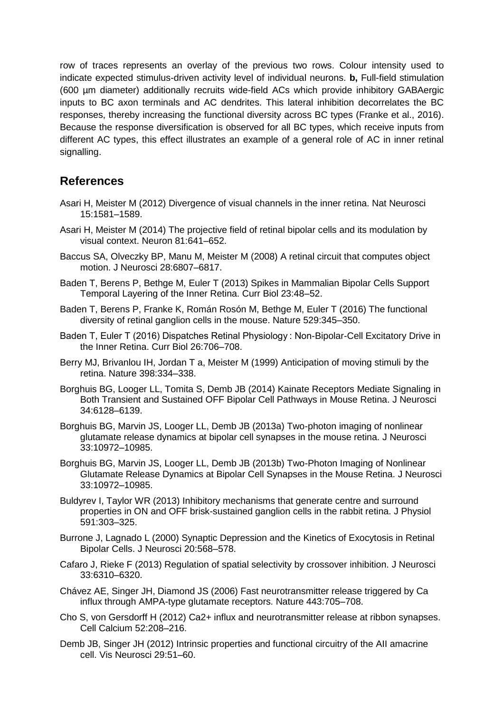row of traces represents an overlay of the previous two rows. Colour intensity used to indicate expected stimulus-driven activity level of individual neurons. **b,** Full-field stimulation (600 µm diameter) additionally recruits wide-field ACs which provide inhibitory GABAergic inputs to BC axon terminals and AC dendrites. This lateral inhibition decorrelates the BC responses, thereby increasing the functional diversity across BC types (Franke et al., 2016). Because the response diversification is observed for all BC types, which receive inputs from different AC types, this effect illustrates an example of a general role of AC in inner retinal signalling.

# **References**

- Asari H, Meister M (2012) Divergence of visual channels in the inner retina. Nat Neurosci 15:1581–1589.
- Asari H, Meister M (2014) The projective field of retinal bipolar cells and its modulation by visual context. Neuron 81:641–652.
- Baccus SA, Olveczky BP, Manu M, Meister M (2008) A retinal circuit that computes object motion. J Neurosci 28:6807–6817.
- Baden T, Berens P, Bethge M, Euler T (2013) Spikes in Mammalian Bipolar Cells Support Temporal Layering of the Inner Retina. Curr Biol 23:48–52.
- Baden T, Berens P, Franke K, Román Rosón M, Bethge M, Euler T (2016) The functional diversity of retinal ganglion cells in the mouse. Nature 529:345–350.
- Baden T, Euler T (2016) Dispatches Retinal Physiology : Non-Bipolar-Cell Excitatory Drive in the Inner Retina. Curr Biol 26:706–708.
- Berry MJ, Brivanlou IH, Jordan T a, Meister M (1999) Anticipation of moving stimuli by the retina. Nature 398:334–338.
- Borghuis BG, Looger LL, Tomita S, Demb JB (2014) Kainate Receptors Mediate Signaling in Both Transient and Sustained OFF Bipolar Cell Pathways in Mouse Retina. J Neurosci 34:6128–6139.
- Borghuis BG, Marvin JS, Looger LL, Demb JB (2013a) Two-photon imaging of nonlinear glutamate release dynamics at bipolar cell synapses in the mouse retina. J Neurosci 33:10972–10985.
- Borghuis BG, Marvin JS, Looger LL, Demb JB (2013b) Two-Photon Imaging of Nonlinear Glutamate Release Dynamics at Bipolar Cell Synapses in the Mouse Retina. J Neurosci 33:10972–10985.
- Buldyrev I, Taylor WR (2013) Inhibitory mechanisms that generate centre and surround properties in ON and OFF brisk-sustained ganglion cells in the rabbit retina. J Physiol 591:303–325.
- Burrone J, Lagnado L (2000) Synaptic Depression and the Kinetics of Exocytosis in Retinal Bipolar Cells. J Neurosci 20:568–578.
- Cafaro J, Rieke F (2013) Regulation of spatial selectivity by crossover inhibition. J Neurosci 33:6310–6320.
- Chávez AE, Singer JH, Diamond JS (2006) Fast neurotransmitter release triggered by Ca influx through AMPA-type glutamate receptors. Nature 443:705–708.
- Cho S, von Gersdorff H (2012) Ca2+ influx and neurotransmitter release at ribbon synapses. Cell Calcium 52:208–216.
- Demb JB, Singer JH (2012) Intrinsic properties and functional circuitry of the AII amacrine cell. Vis Neurosci 29:51–60.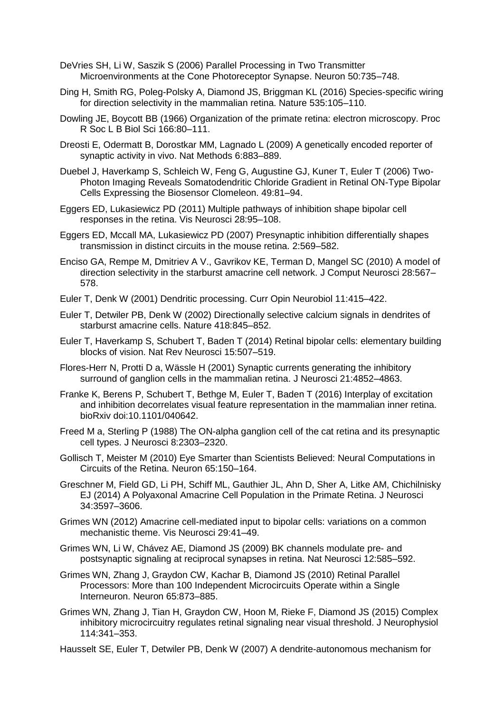- DeVries SH, Li W, Saszik S (2006) Parallel Processing in Two Transmitter Microenvironments at the Cone Photoreceptor Synapse. Neuron 50:735–748.
- Ding H, Smith RG, Poleg-Polsky A, Diamond JS, Briggman KL (2016) Species-specific wiring for direction selectivity in the mammalian retina. Nature 535:105–110.
- Dowling JE, Boycott BB (1966) Organization of the primate retina: electron microscopy. Proc R Soc L B Biol Sci 166:80–111.
- Dreosti E, Odermatt B, Dorostkar MM, Lagnado L (2009) A genetically encoded reporter of synaptic activity in vivo. Nat Methods 6:883–889.
- Duebel J, Haverkamp S, Schleich W, Feng G, Augustine GJ, Kuner T, Euler T (2006) Two-Photon Imaging Reveals Somatodendritic Chloride Gradient in Retinal ON-Type Bipolar Cells Expressing the Biosensor Clomeleon. 49:81–94.
- Eggers ED, Lukasiewicz PD (2011) Multiple pathways of inhibition shape bipolar cell responses in the retina. Vis Neurosci 28:95–108.
- Eggers ED, Mccall MA, Lukasiewicz PD (2007) Presynaptic inhibition differentially shapes transmission in distinct circuits in the mouse retina. 2:569–582.
- Enciso GA, Rempe M, Dmitriev A V., Gavrikov KE, Terman D, Mangel SC (2010) A model of direction selectivity in the starburst amacrine cell network. J Comput Neurosci 28:567– 578.
- Euler T, Denk W (2001) Dendritic processing. Curr Opin Neurobiol 11:415–422.
- Euler T, Detwiler PB, Denk W (2002) Directionally selective calcium signals in dendrites of starburst amacrine cells. Nature 418:845–852.
- Euler T, Haverkamp S, Schubert T, Baden T (2014) Retinal bipolar cells: elementary building blocks of vision. Nat Rev Neurosci 15:507–519.
- Flores-Herr N, Protti D a, Wässle H (2001) Synaptic currents generating the inhibitory surround of ganglion cells in the mammalian retina. J Neurosci 21:4852–4863.
- Franke K, Berens P, Schubert T, Bethge M, Euler T, Baden T (2016) Interplay of excitation and inhibition decorrelates visual feature representation in the mammalian inner retina. bioRxiv doi:10.1101/040642.
- Freed M a, Sterling P (1988) The ON-alpha ganglion cell of the cat retina and its presynaptic cell types. J Neurosci 8:2303–2320.
- Gollisch T, Meister M (2010) Eye Smarter than Scientists Believed: Neural Computations in Circuits of the Retina. Neuron 65:150–164.
- Greschner M, Field GD, Li PH, Schiff ML, Gauthier JL, Ahn D, Sher A, Litke AM, Chichilnisky EJ (2014) A Polyaxonal Amacrine Cell Population in the Primate Retina. J Neurosci 34:3597–3606.
- Grimes WN (2012) Amacrine cell-mediated input to bipolar cells: variations on a common mechanistic theme. Vis Neurosci 29:41–49.
- Grimes WN, Li W, Chávez AE, Diamond JS (2009) BK channels modulate pre- and postsynaptic signaling at reciprocal synapses in retina. Nat Neurosci 12:585–592.
- Grimes WN, Zhang J, Graydon CW, Kachar B, Diamond JS (2010) Retinal Parallel Processors: More than 100 Independent Microcircuits Operate within a Single Interneuron. Neuron 65:873–885.
- Grimes WN, Zhang J, Tian H, Graydon CW, Hoon M, Rieke F, Diamond JS (2015) Complex inhibitory microcircuitry regulates retinal signaling near visual threshold. J Neurophysiol 114:341–353.
- Hausselt SE, Euler T, Detwiler PB, Denk W (2007) A dendrite-autonomous mechanism for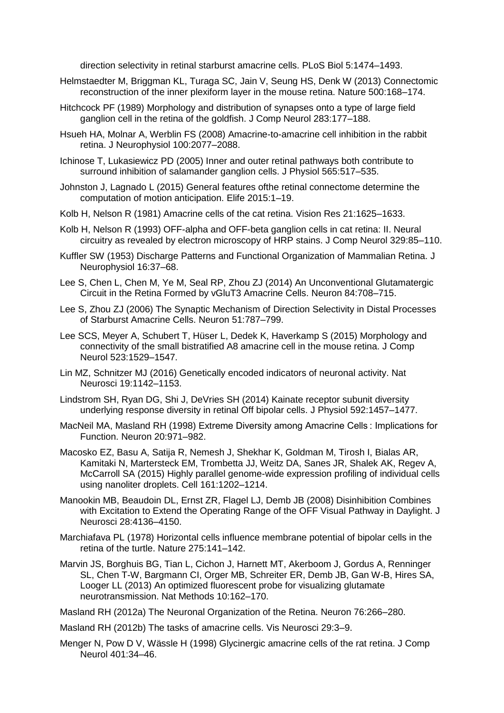direction selectivity in retinal starburst amacrine cells. PLoS Biol 5:1474–1493.

- Helmstaedter M, Briggman KL, Turaga SC, Jain V, Seung HS, Denk W (2013) Connectomic reconstruction of the inner plexiform layer in the mouse retina. Nature 500:168–174.
- Hitchcock PF (1989) Morphology and distribution of synapses onto a type of large field ganglion cell in the retina of the goldfish. J Comp Neurol 283:177–188.
- Hsueh HA, Molnar A, Werblin FS (2008) Amacrine-to-amacrine cell inhibition in the rabbit retina. J Neurophysiol 100:2077–2088.
- Ichinose T, Lukasiewicz PD (2005) Inner and outer retinal pathways both contribute to surround inhibition of salamander ganglion cells. J Physiol 565:517–535.
- Johnston J, Lagnado L (2015) General features ofthe retinal connectome determine the computation of motion anticipation. Elife 2015:1–19.
- Kolb H, Nelson R (1981) Amacrine cells of the cat retina. Vision Res 21:1625–1633.
- Kolb H, Nelson R (1993) OFF-alpha and OFF-beta ganglion cells in cat retina: II. Neural circuitry as revealed by electron microscopy of HRP stains. J Comp Neurol 329:85–110.
- Kuffler SW (1953) Discharge Patterns and Functional Organization of Mammalian Retina. J Neurophysiol 16:37–68.
- Lee S, Chen L, Chen M, Ye M, Seal RP, Zhou ZJ (2014) An Unconventional Glutamatergic Circuit in the Retina Formed by vGluT3 Amacrine Cells. Neuron 84:708–715.
- Lee S, Zhou ZJ (2006) The Synaptic Mechanism of Direction Selectivity in Distal Processes of Starburst Amacrine Cells. Neuron 51:787–799.
- Lee SCS, Meyer A, Schubert T, Hüser L, Dedek K, Haverkamp S (2015) Morphology and connectivity of the small bistratified A8 amacrine cell in the mouse retina. J Comp Neurol 523:1529–1547.
- Lin MZ, Schnitzer MJ (2016) Genetically encoded indicators of neuronal activity. Nat Neurosci 19:1142–1153.
- Lindstrom SH, Ryan DG, Shi J, DeVries SH (2014) Kainate receptor subunit diversity underlying response diversity in retinal Off bipolar cells. J Physiol 592:1457–1477.
- MacNeil MA, Masland RH (1998) Extreme Diversity among Amacrine Cells : Implications for Function. Neuron 20:971–982.
- Macosko EZ, Basu A, Satija R, Nemesh J, Shekhar K, Goldman M, Tirosh I, Bialas AR, Kamitaki N, Martersteck EM, Trombetta JJ, Weitz DA, Sanes JR, Shalek AK, Regev A, McCarroll SA (2015) Highly parallel genome-wide expression profiling of individual cells using nanoliter droplets. Cell 161:1202–1214.
- Manookin MB, Beaudoin DL, Ernst ZR, Flagel LJ, Demb JB (2008) Disinhibition Combines with Excitation to Extend the Operating Range of the OFF Visual Pathway in Daylight. J Neurosci 28:4136–4150.
- Marchiafava PL (1978) Horizontal cells influence membrane potential of bipolar cells in the retina of the turtle. Nature 275:141–142.
- Marvin JS, Borghuis BG, Tian L, Cichon J, Harnett MT, Akerboom J, Gordus A, Renninger SL, Chen T-W, Bargmann CI, Orger MB, Schreiter ER, Demb JB, Gan W-B, Hires SA, Looger LL (2013) An optimized fluorescent probe for visualizing glutamate neurotransmission. Nat Methods 10:162–170.
- Masland RH (2012a) The Neuronal Organization of the Retina. Neuron 76:266–280.
- Masland RH (2012b) The tasks of amacrine cells. Vis Neurosci 29:3–9.
- Menger N, Pow D V, Wässle H (1998) Glycinergic amacrine cells of the rat retina. J Comp Neurol 401:34–46.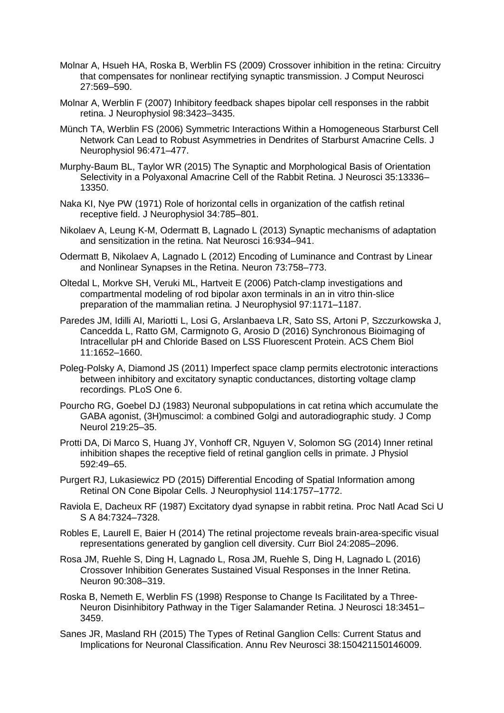- Molnar A, Hsueh HA, Roska B, Werblin FS (2009) Crossover inhibition in the retina: Circuitry that compensates for nonlinear rectifying synaptic transmission. J Comput Neurosci 27:569–590.
- Molnar A, Werblin F (2007) Inhibitory feedback shapes bipolar cell responses in the rabbit retina. J Neurophysiol 98:3423–3435.
- Münch TA, Werblin FS (2006) Symmetric Interactions Within a Homogeneous Starburst Cell Network Can Lead to Robust Asymmetries in Dendrites of Starburst Amacrine Cells. J Neurophysiol 96:471–477.
- Murphy-Baum BL, Taylor WR (2015) The Synaptic and Morphological Basis of Orientation Selectivity in a Polyaxonal Amacrine Cell of the Rabbit Retina. J Neurosci 35:13336– 13350.
- Naka KI, Nye PW (1971) Role of horizontal cells in organization of the catfish retinal receptive field. J Neurophysiol 34:785–801.
- Nikolaev A, Leung K-M, Odermatt B, Lagnado L (2013) Synaptic mechanisms of adaptation and sensitization in the retina. Nat Neurosci 16:934–941.
- Odermatt B, Nikolaev A, Lagnado L (2012) Encoding of Luminance and Contrast by Linear and Nonlinear Synapses in the Retina. Neuron 73:758–773.
- Oltedal L, Morkve SH, Veruki ML, Hartveit E (2006) Patch-clamp investigations and compartmental modeling of rod bipolar axon terminals in an in vitro thin-slice preparation of the mammalian retina. J Neurophysiol 97:1171–1187.
- Paredes JM, Idilli AI, Mariotti L, Losi G, Arslanbaeva LR, Sato SS, Artoni P, Szczurkowska J, Cancedda L, Ratto GM, Carmignoto G, Arosio D (2016) Synchronous Bioimaging of Intracellular pH and Chloride Based on LSS Fluorescent Protein. ACS Chem Biol 11:1652–1660.
- Poleg-Polsky A, Diamond JS (2011) Imperfect space clamp permits electrotonic interactions between inhibitory and excitatory synaptic conductances, distorting voltage clamp recordings. PLoS One 6.
- Pourcho RG, Goebel DJ (1983) Neuronal subpopulations in cat retina which accumulate the GABA agonist, (3H)muscimol: a combined Golgi and autoradiographic study. J Comp Neurol 219:25–35.
- Protti DA, Di Marco S, Huang JY, Vonhoff CR, Nguyen V, Solomon SG (2014) Inner retinal inhibition shapes the receptive field of retinal ganglion cells in primate. J Physiol 592:49–65.
- Purgert RJ, Lukasiewicz PD (2015) Differential Encoding of Spatial Information among Retinal ON Cone Bipolar Cells. J Neurophysiol 114:1757–1772.
- Raviola E, Dacheux RF (1987) Excitatory dyad synapse in rabbit retina. Proc Natl Acad Sci U S A 84:7324–7328.
- Robles E, Laurell E, Baier H (2014) The retinal projectome reveals brain-area-specific visual representations generated by ganglion cell diversity. Curr Biol 24:2085–2096.
- Rosa JM, Ruehle S, Ding H, Lagnado L, Rosa JM, Ruehle S, Ding H, Lagnado L (2016) Crossover Inhibition Generates Sustained Visual Responses in the Inner Retina. Neuron 90:308–319.
- Roska B, Nemeth E, Werblin FS (1998) Response to Change Is Facilitated by a Three-Neuron Disinhibitory Pathway in the Tiger Salamander Retina. J Neurosci 18:3451– 3459.
- Sanes JR, Masland RH (2015) The Types of Retinal Ganglion Cells: Current Status and Implications for Neuronal Classification. Annu Rev Neurosci 38:150421150146009.